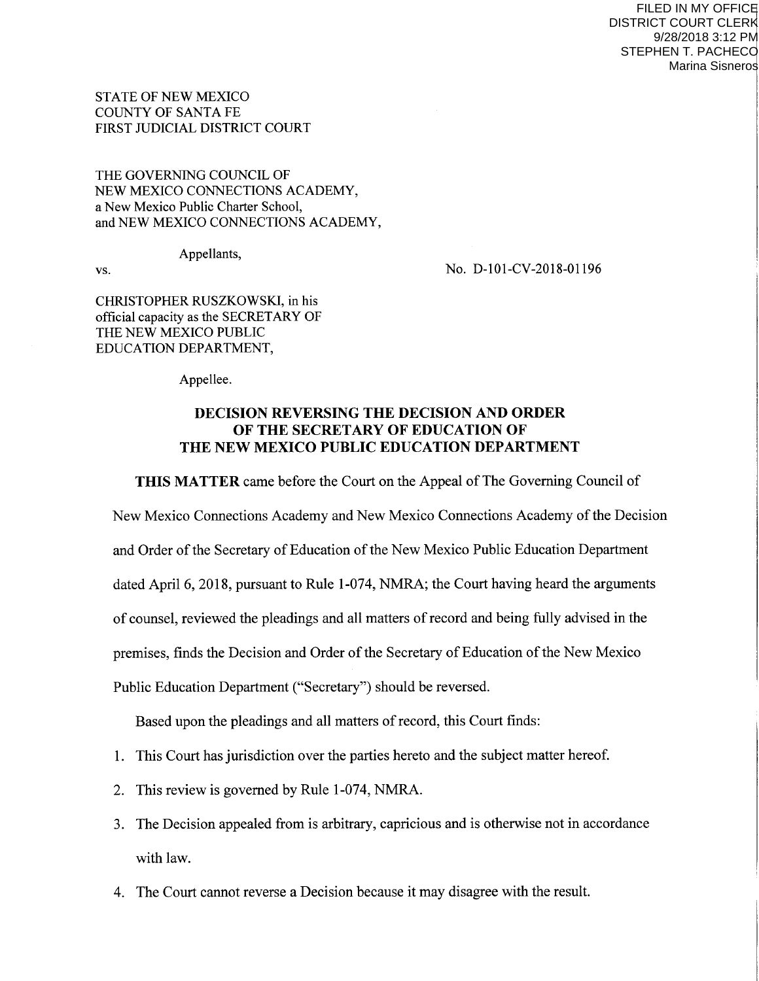FILED IN MY OFFICE DISTRICT COURT CLERK 9/28/2018 3:12 PM STEPHEN T. PACHECO Marina Sisneros

STATE OF NEW MEXICO COUNTY OF SANTA FE FIRST JUDICIAL DISTRICT COURT

THE GOVERNING COUNCIL OF NEW MEXICO CONNECTIONS ACADEMY, a New Mexico Public Charter School, and NEW MEXICO CONNECTIONS ACADEMY,

Appellants,

vs. No. D-101-CV-2018-01196

CHRISTOPHER RUSZKOWSKI, in his official capacity as the SECRETARY OF THE NEW MEXICO PUBLIC EDUCATION DEPARTMENT,

Appellee.

## DECISION REVERSING THE DECISION AND ORDER OF THE SECRETARY OF EDUCATION OF THE NEW MEXICO PUBLIC EDUCATION DEPARTMENT

THIS MATTER came before the Court on the Appeal of The Governing Council of

New Mexico Connections Academy and New Mexico Connections Academy of the Decision

and Order of the Secretary of Education of the New Mexico Public Education Department

dated April 6, 2018, pursuant to Rule 1-074, NMRA; the Court having heard the arguments

of counsel, reviewed the pleadings and all matters of record and being fully advised in the

premises, finds the Decision and Order of the Secretary of Education of the New Mexico

Public Education Department ("Secretary") should be reversed.

Based upon the pleadings and all matters of record, this Court finds:

- 1. This Court has jurisdiction over the parties hereto and the subject matter hereof.
- 2. This review is governed by Rule 1-074, NMRA.
- 3. The Decision appealed from is arbitrary, capricious and is otherwise not in accordance with law.
- 4. The Court cannot reverse a Decision because it may disagree with the result.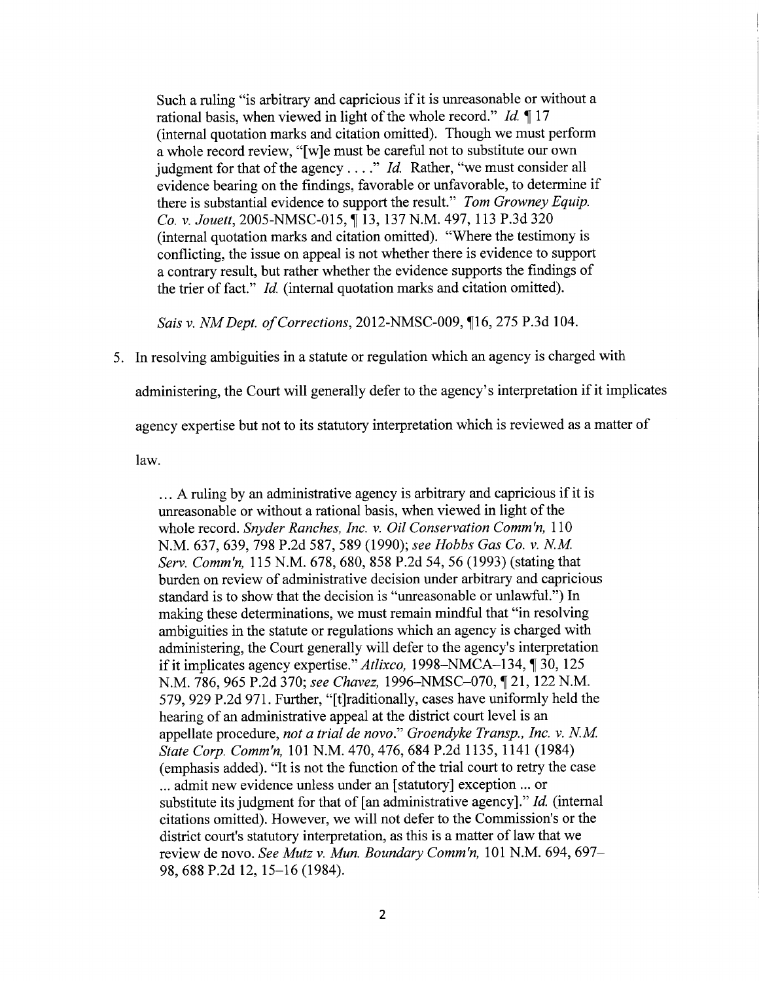Such a ruling "is arbitrary and capricious if it is unreasonable or without <sup>a</sup> rational basis, when viewed in light of the whole record." Id.  $\P$  17 (internal quotation marks and citation omitted). Though we must perform a whole record review, "[w]e must be careful not to substitute our own judgment for that of the agency . . . ." *Id.* Rather, "we must consider all evidence bearing on the findings, favorable or unfavorable, to determine if there is substantial evidence to support the result." Tom Growney Equip. Co. v. Jouett, 2005-NMSC-015, ¶ 13, 137 N.M. 497, 113 P.3d 320 (intemal quotation marks and citation omitted). "Where the testimony is conflicting, the issue on appeal is not whether there is evidence to support <sup>a</sup>contrary result, but rather whether the evidence supports the findings of the trier of fact." Id. (intemal quotation marks and citation omitted).

Sais v. NM Dept. of Corrections, 2012-NMSC-009, ¶16, 275 P.3d 104.

5. ln resolving ambiguities in a statute or regulation which an agency is charged with

administering, the Court will generally defer to the agency's interpretation if it implicates

agency expertise but not to its statutory interpretation which is reviewed as a matter of

law.

... A ruling by an administrative agency is arbitrary and capricious if it is unreasonable or without a rational basis, when viewed in light of the whole record. Snyder Ranches, Inc. v. Oil Conservation Comm'n, 110 N.M. 637, 639, 798 P.2d 587, 589 (1990); see Hobbs Gas Co. v. N.M. Serv. Comm'n, 115 N.M. 678, 680, 858 P.2d 54, 56 (1993) (stating that burden on review of administrative decision under arbitrary and capricious standard is to show that the decision is "unreasonable or unlawful.") In making these determinations, we must remain mindful that "in resolving ambiguities in the statute or regulations which an agency is charged with administering, the Court generally will defer to the agency's interpretation if it implicates agency expertise."  $Atlixco$ , 1998-NMCA-134, ¶ 30, 125 N.M. 786, 965 P.2d 370; see Chavez, 1996-NMSC-070, ¶ 21, 122 N.M. 579,929P.2d971. Further, "[t]raditionally, cases have uniformly held the hearing of an administrative appeal at the district court level is an appellate procedure, not a trial de novo." Groendyke Transp., Inc. v. N.M. State Corp. Comm'n,101 N.M. 470,476,684P.2d 1135, 1141 (1984) (emphasis added). "It is not the function of the trial court to retry the case ... admit new evidence unless under an [statutory] exception ... or substitute its judgment for that of [an administrative agency]." Id. (internal citations omitted). However, we will not defer to the Commission's or the district court's statutory interpretation, as this is a matter of law that we review de novo. See Mutz v. Mun. Boundary Comm'n, 101 N.M. 694, 697-98, 688 P.2d 12, l5-16 (1984).